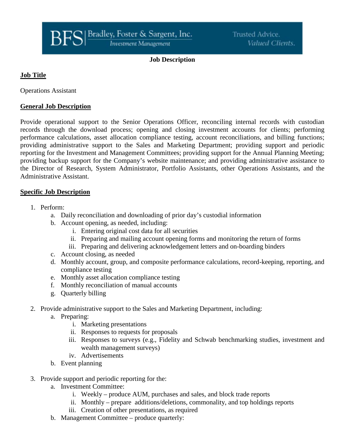#### **Job Description**

# **Job Title**

Operations Assistant

### **General Job Description**

Provide operational support to the Senior Operations Officer, reconciling internal records with custodian records through the download process; opening and closing investment accounts for clients; performing performance calculations, asset allocation compliance testing, account reconciliations, and billing functions; providing administrative support to the Sales and Marketing Department; providing support and periodic reporting for the Investment and Management Committees; providing support for the Annual Planning Meeting; providing backup support for the Company's website maintenance; and providing administrative assistance to the Director of Research, System Administrator, Portfolio Assistants, other Operations Assistants, and the Administrative Assistant.

#### **Specific Job Description**

- 1. Perform:
	- a. Daily reconciliation and downloading of prior day's custodial information
	- b. Account opening, as needed, including:
		- i. Entering original cost data for all securities
		- ii. Preparing and mailing account opening forms and monitoring the return of forms
		- iii. Preparing and delivering acknowledgement letters and on-boarding binders
	- c. Account closing, as needed
	- d. Monthly account, group, and composite performance calculations, record-keeping, reporting, and compliance testing
	- e. Monthly asset allocation compliance testing
	- f. Monthly reconciliation of manual accounts
	- g. Quarterly billing
- 2. Provide administrative support to the Sales and Marketing Department, including:
	- a. Preparing:
		- i. Marketing presentations
		- ii. Responses to requests for proposals
		- iii. Responses to surveys (e.g., Fidelity and Schwab benchmarking studies, investment and wealth management surveys)
		- iv. Advertisements
	- b. Event planning
- 3. Provide support and periodic reporting for the:
	- a. Investment Committee:
		- i. Weekly produce AUM, purchases and sales, and block trade reports
		- ii. Monthly prepare additions/deletions, commonality, and top holdings reports
		- iii. Creation of other presentations, as required
	- b. Management Committee produce quarterly: